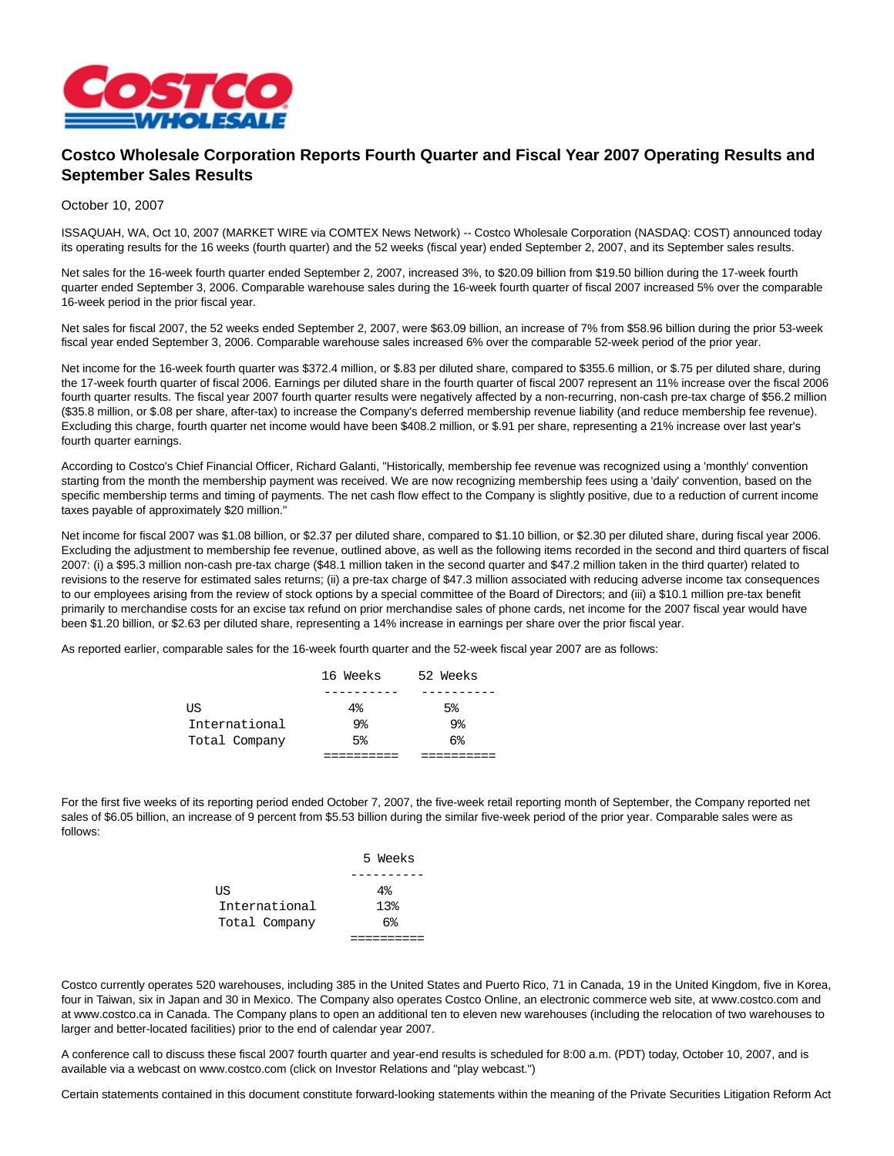

## **Costco Wholesale Corporation Reports Fourth Quarter and Fiscal Year 2007 Operating Results and September Sales Results**

## October 10, 2007

ISSAQUAH, WA, Oct 10, 2007 (MARKET WIRE via COMTEX News Network) -- Costco Wholesale Corporation (NASDAQ: COST) announced today its operating results for the 16 weeks (fourth quarter) and the 52 weeks (fiscal year) ended September 2, 2007, and its September sales results.

Net sales for the 16-week fourth quarter ended September 2, 2007, increased 3%, to \$20.09 billion from \$19.50 billion during the 17-week fourth quarter ended September 3, 2006. Comparable warehouse sales during the 16-week fourth quarter of fiscal 2007 increased 5% over the comparable 16-week period in the prior fiscal year.

Net sales for fiscal 2007, the 52 weeks ended September 2, 2007, were \$63.09 billion, an increase of 7% from \$58.96 billion during the prior 53-week fiscal year ended September 3, 2006. Comparable warehouse sales increased 6% over the comparable 52-week period of the prior year.

Net income for the 16-week fourth quarter was \$372.4 million, or \$.83 per diluted share, compared to \$355.6 million, or \$.75 per diluted share, during the 17-week fourth quarter of fiscal 2006. Earnings per diluted share in the fourth quarter of fiscal 2007 represent an 11% increase over the fiscal 2006 fourth quarter results. The fiscal year 2007 fourth quarter results were negatively affected by a non-recurring, non-cash pre-tax charge of \$56.2 million (\$35.8 million, or \$.08 per share, after-tax) to increase the Company's deferred membership revenue liability (and reduce membership fee revenue). Excluding this charge, fourth quarter net income would have been \$408.2 million, or \$.91 per share, representing a 21% increase over last year's fourth quarter earnings.

According to Costco's Chief Financial Officer, Richard Galanti, "Historically, membership fee revenue was recognized using a 'monthly' convention starting from the month the membership payment was received. We are now recognizing membership fees using a 'daily' convention, based on the specific membership terms and timing of payments. The net cash flow effect to the Company is slightly positive, due to a reduction of current income taxes payable of approximately \$20 million."

Net income for fiscal 2007 was \$1.08 billion, or \$2.37 per diluted share, compared to \$1.10 billion, or \$2.30 per diluted share, during fiscal year 2006. Excluding the adjustment to membership fee revenue, outlined above, as well as the following items recorded in the second and third quarters of fiscal 2007: (i) a \$95.3 million non-cash pre-tax charge (\$48.1 million taken in the second quarter and \$47.2 million taken in the third quarter) related to revisions to the reserve for estimated sales returns; (ii) a pre-tax charge of \$47.3 million associated with reducing adverse income tax consequences to our employees arising from the review of stock options by a special committee of the Board of Directors; and (iii) a \$10.1 million pre-tax benefit primarily to merchandise costs for an excise tax refund on prior merchandise sales of phone cards, net income for the 2007 fiscal year would have been \$1.20 billion, or \$2.63 per diluted share, representing a 14% increase in earnings per share over the prior fiscal year.

As reported earlier, comparable sales for the 16-week fourth quarter and the 52-week fiscal year 2007 are as follows:

|               | 16 Weeks       | 52 Weeks       |
|---------------|----------------|----------------|
|               | _____          |                |
| ΠS            | 4%             | 5 <sup>8</sup> |
| International | 9%             | 9%             |
| Total Company | 5 <sup>8</sup> | $6\%$          |
|               |                |                |

For the first five weeks of its reporting period ended October 7, 2007, the five-week retail reporting month of September, the Company reported net sales of \$6.05 billion, an increase of 9 percent from \$5.53 billion during the similar five-week period of the prior year. Comparable sales were as follows:

|               | 5 Weeks         |
|---------------|-----------------|
|               |                 |
| US            | $4\%$           |
| International | 13 <sub>8</sub> |
| Total Company | $6\%$           |
|               |                 |

Costco currently operates 520 warehouses, including 385 in the United States and Puerto Rico, 71 in Canada, 19 in the United Kingdom, five in Korea, four in Taiwan, six in Japan and 30 in Mexico. The Company also operates Costco Online, an electronic commerce web site, at www.costco.com and at www.costco.ca in Canada. The Company plans to open an additional ten to eleven new warehouses (including the relocation of two warehouses to larger and better-located facilities) prior to the end of calendar year 2007.

A conference call to discuss these fiscal 2007 fourth quarter and year-end results is scheduled for 8:00 a.m. (PDT) today, October 10, 2007, and is available via a webcast on www.costco.com (click on Investor Relations and "play webcast.")

Certain statements contained in this document constitute forward-looking statements within the meaning of the Private Securities Litigation Reform Act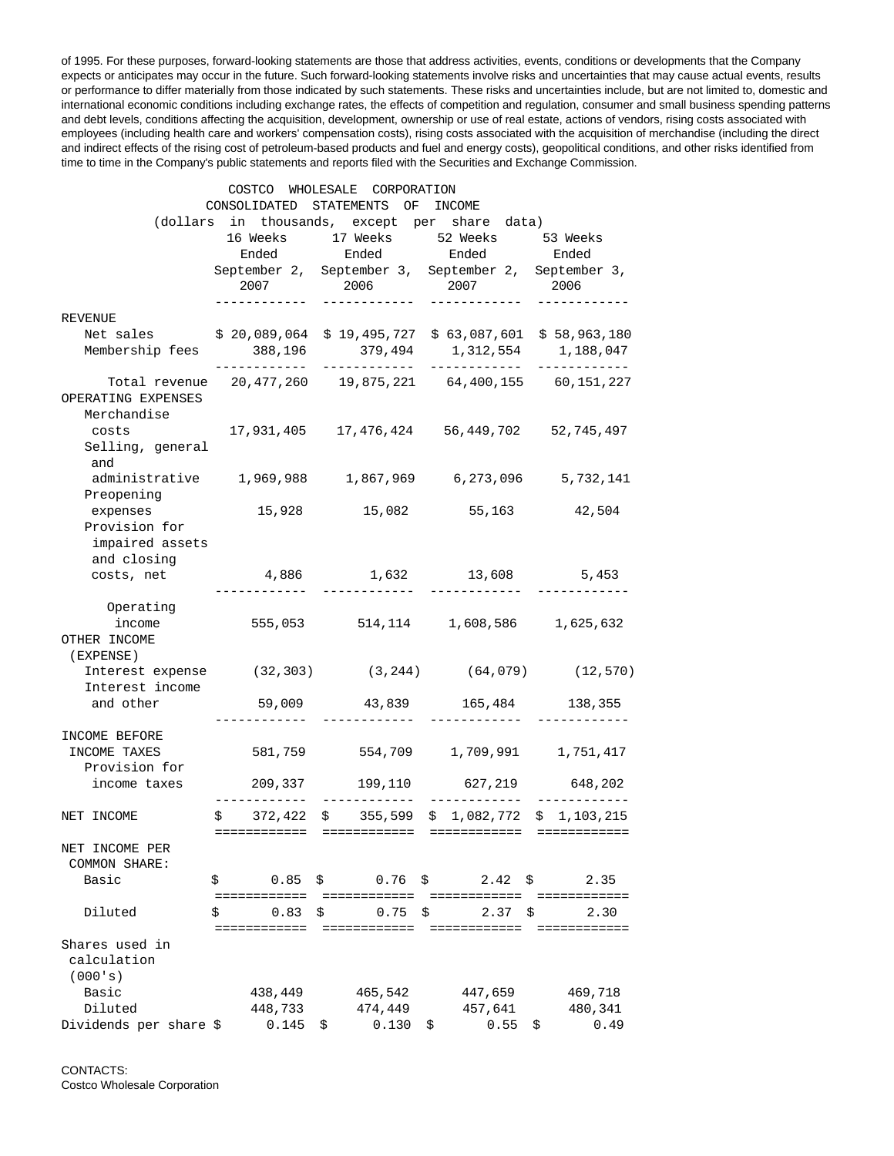of 1995. For these purposes, forward-looking statements are those that address activities, events, conditions or developments that the Company expects or anticipates may occur in the future. Such forward-looking statements involve risks and uncertainties that may cause actual events, results or performance to differ materially from those indicated by such statements. These risks and uncertainties include, but are not limited to, domestic and international economic conditions including exchange rates, the effects of competition and regulation, consumer and small business spending patterns and debt levels, conditions affecting the acquisition, development, ownership or use of real estate, actions of vendors, rising costs associated with employees (including health care and workers' compensation costs), rising costs associated with the acquisition of merchandise (including the direct and indirect effects of the rising cost of petroleum-based products and fuel and energy costs), geopolitical conditions, and other risks identified from time to time in the Company's public statements and reports filed with the Securities and Exchange Commission.

|                                                              |    | COSTCO       |    | WHOLESALE CORPORATION |    |                                                     |   |                      |
|--------------------------------------------------------------|----|--------------|----|-----------------------|----|-----------------------------------------------------|---|----------------------|
| CONSOLIDATED STATEMENTS<br>ОF<br>INCOME                      |    |              |    |                       |    |                                                     |   |                      |
| (dollars in thousands, except per share data)                |    |              |    |                       |    |                                                     |   |                      |
|                                                              |    | 16 Weeks     |    | 17 Weeks              |    | 52 Weeks                                            |   | 53 Weeks             |
|                                                              |    | Ended        |    | Ended                 |    | Ended                                               |   | Ended                |
|                                                              |    |              |    |                       |    | September 2, September 3, September 2, September 3, |   |                      |
|                                                              |    | 2007         |    | 2006                  |    | 2007                                                |   | 2006                 |
| <b>REVENUE</b>                                               |    |              |    |                       |    |                                                     |   |                      |
| Net sales                                                    |    |              |    |                       |    |                                                     |   |                      |
|                                                              |    | \$20,089,064 |    | \$19,495,727          |    | \$63,087,601                                        |   | \$58,963,180         |
| Membership fees                                              |    | 388,196      |    | 379,494               |    | 1,312,554                                           |   | 1,188,047            |
| Total revenue 20,477,260  19,875,221  64,400,155  60,151,227 |    |              |    |                       |    |                                                     |   |                      |
| OPERATING EXPENSES                                           |    |              |    |                       |    |                                                     |   |                      |
| Merchandise                                                  |    |              |    |                       |    |                                                     |   |                      |
| costs                                                        |    | 17,931,405   |    | 17,476,424            |    | 56,449,702                                          |   | 52,745,497           |
| Selling, general                                             |    |              |    |                       |    |                                                     |   |                      |
| and                                                          |    |              |    |                       |    |                                                     |   |                      |
| administrative 1,969,988                                     |    |              |    | 1,867,969             |    | 6,273,096                                           |   | 5,732,141            |
| Preopening                                                   |    |              |    |                       |    |                                                     |   |                      |
| expenses                                                     |    | 15,928       |    | 15,082                |    | 55,163                                              |   | 42,504               |
| Provision for                                                |    |              |    |                       |    |                                                     |   |                      |
| impaired assets                                              |    |              |    |                       |    |                                                     |   |                      |
| and closing                                                  |    |              |    |                       |    |                                                     |   |                      |
| costs, net                                                   |    | 4,886        |    | 1,632                 |    | 13,608                                              |   | 5,453                |
|                                                              |    |              |    |                       |    |                                                     |   |                      |
| Operating                                                    |    |              |    |                       |    |                                                     |   |                      |
| income                                                       |    | 555,053      |    | 514,114               |    | 1,608,586                                           |   | 1,625,632            |
| OTHER INCOME                                                 |    |              |    |                       |    |                                                     |   |                      |
| (EXPENSE)                                                    |    |              |    |                       |    |                                                     |   |                      |
| Interest expense                                             |    | (32, 303)    |    | (3, 244)              |    | (64,079)                                            |   | (12, 570)            |
| Interest income                                              |    |              |    |                       |    |                                                     |   |                      |
| and other                                                    |    | 59,009       |    | 43,839                |    | 165,484                                             |   | 138,355              |
|                                                              |    |              |    |                       |    |                                                     |   |                      |
| INCOME BEFORE                                                |    |              |    |                       |    |                                                     |   |                      |
| INCOME TAXES                                                 |    | 581,759      |    | 554,709               |    | 1,709,991                                           |   | 1,751,417            |
| Provision for                                                |    |              |    |                       |    |                                                     |   |                      |
| income taxes                                                 |    | 209,337      |    | 199,110               |    | 627,219                                             |   | 648,202              |
| NET INCOME                                                   |    | \$372,422    |    | \$355,599             |    | \$1,082,772                                         |   | \$1,103,215          |
|                                                              |    | ============ |    | ============          |    | ============                                        |   | ============         |
| NET INCOME PER                                               |    |              |    |                       |    |                                                     |   |                      |
| <b>COMMON SHARE:</b>                                         |    |              |    |                       |    |                                                     |   |                      |
| Basic                                                        | \$ | 0.85         | \$ | $0.76$ \$             |    | $2.42 \text{ }$ \$                                  |   | 2.35                 |
| Diluted                                                      |    | 0.83         | \$ | 0.75                  | \$ | 2.37<br>\$                                          |   |                      |
|                                                              | \$ | ============ |    | eessessesses          |    | ============                                        |   | 2.30<br>============ |
| Shares used in                                               |    |              |    |                       |    |                                                     |   |                      |
| calculation                                                  |    |              |    |                       |    |                                                     |   |                      |
| (000's)                                                      |    |              |    |                       |    |                                                     |   |                      |
| Basic                                                        |    | 438,449      |    | 465,542               |    | 447,659                                             |   | 469,718              |
| Diluted                                                      |    | 448,733      |    | 474,449               |    | 457,641                                             |   | 480,341              |
| Dividends per share \$                                       |    | 0.145        | \$ | 0.130                 | \$ | 0.55                                                | S | 0.49                 |